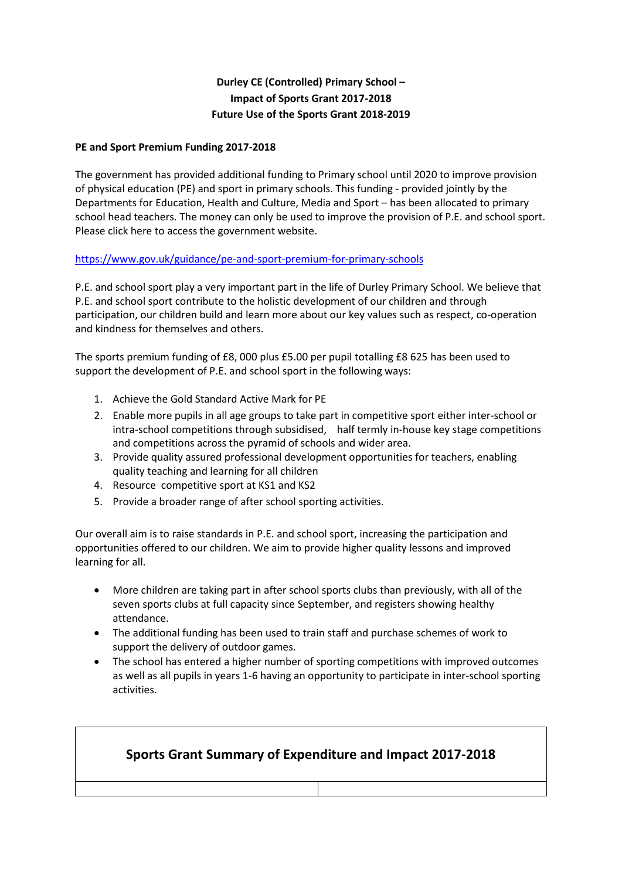## **Durley CE (Controlled) Primary School – Impact of Sports Grant 2017-2018 Future Use of the Sports Grant 2018-2019**

### **PE and Sport Premium Funding 2017-2018**

The government has provided additional funding to Primary school until 2020 to improve provision of physical education (PE) and sport in primary schools. This funding - provided jointly by the Departments for Education, Health and Culture, Media and Sport – has been allocated to primary school head teachers. The money can only be used to improve the provision of P.E. and school sport. [Please click here to access the government website.](http://www.education.gov.uk/schools/adminandfinance/financialmanagement/b00222858/primary-school-sport-funding/Primar)

### <https://www.gov.uk/guidance/pe-and-sport-premium-for-primary-schools>

P.E. and school sport play a very important part in the life of Durley Primary School. We believe that P.E. and school sport contribute to the holistic development of our children and through participation, our children build and learn more about our key values such as respect, co-operation and kindness for themselves and others.

The sports premium funding of £8, 000 plus £5.00 per pupil totalling £8 625 has been used to support the development of P.E. and school sport in the following ways:

- 1. Achieve the Gold Standard Active Mark for PE
- 2. Enable more pupils in all age groups to take part in competitive sport either inter-school or intra-school competitions through subsidised, half termly in-house key stage competitions and competitions across the pyramid of schools and wider area.
- 3. Provide quality assured professional development opportunities for teachers, enabling quality teaching and learning for all children
- 4. Resource competitive sport at KS1 and KS2
- 5. Provide a broader range of after school sporting activities.

Our overall aim is to raise standards in P.E. and school sport, increasing the participation and opportunities offered to our children. We aim to provide higher quality lessons and improved learning for all.

- More children are taking part in after school sports clubs than previously, with all of the seven sports clubs at full capacity since September, and registers showing healthy attendance.
- The additional funding has been used to train staff and purchase schemes of work to support the delivery of outdoor games.
- The school has entered a higher number of sporting competitions with improved outcomes as well as all pupils in years 1-6 having an opportunity to participate in inter-school sporting activities.

# **Sports Grant Summary of Expenditure and Impact 2017-2018**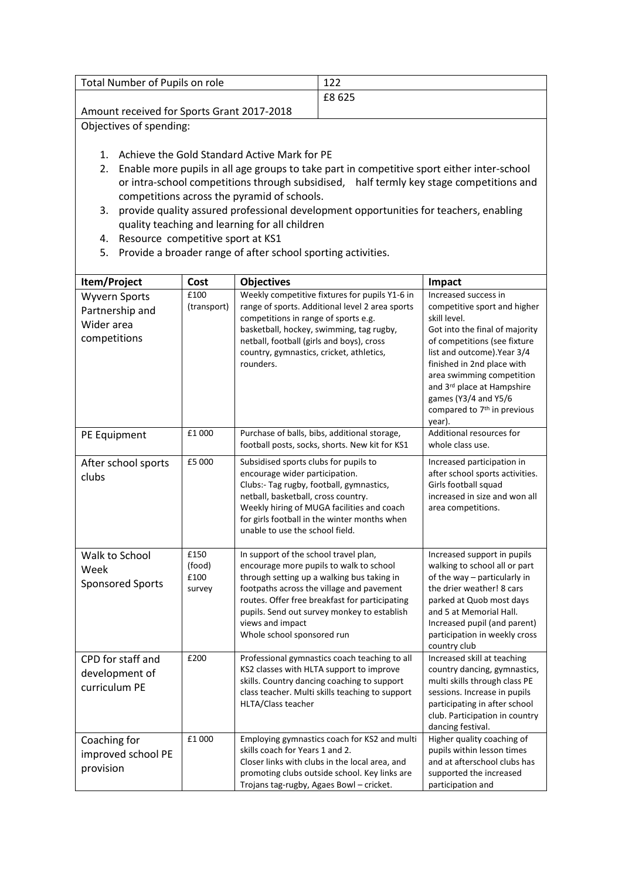| Total Number of Pupils on role             | 1 ว ว  |
|--------------------------------------------|--------|
|                                            | £8 625 |
| Amount received for Sports Grant 2017-2018 |        |
|                                            |        |

Objectives of spending:

- 1. Achieve the Gold Standard Active Mark for PE
- 2. Enable more pupils in all age groups to take part in competitive sport either inter-school or intra-school competitions through subsidised, half termly key stage competitions and competitions across the pyramid of schools.
- 3. provide quality assured professional development opportunities for teachers, enabling quality teaching and learning for all children
- 4. Resource competitive sport at KS1
- 5. Provide a broader range of after school sporting activities.

| Item/Project                                                          | Cost                             | <b>Objectives</b>                                                                                                                                                                                                                                                                                                              | Impact                                                                                                                                                                                                                                                                                                                                      |
|-----------------------------------------------------------------------|----------------------------------|--------------------------------------------------------------------------------------------------------------------------------------------------------------------------------------------------------------------------------------------------------------------------------------------------------------------------------|---------------------------------------------------------------------------------------------------------------------------------------------------------------------------------------------------------------------------------------------------------------------------------------------------------------------------------------------|
| <b>Wyvern Sports</b><br>Partnership and<br>Wider area<br>competitions | £100<br>(transport)              | Weekly competitive fixtures for pupils Y1-6 in<br>range of sports. Additional level 2 area sports<br>competitions in range of sports e.g.<br>basketball, hockey, swimming, tag rugby,<br>netball, football (girls and boys), cross<br>country, gymnastics, cricket, athletics,<br>rounders.                                    | Increased success in<br>competitive sport and higher<br>skill level.<br>Got into the final of majority<br>of competitions (see fixture<br>list and outcome). Year 3/4<br>finished in 2nd place with<br>area swimming competition<br>and 3rd place at Hampshire<br>games (Y3/4 and Y5/6<br>compared to 7 <sup>th</sup> in previous<br>year). |
| PE Equipment                                                          | £1000                            | Purchase of balls, bibs, additional storage,<br>football posts, socks, shorts. New kit for KS1                                                                                                                                                                                                                                 | Additional resources for<br>whole class use.                                                                                                                                                                                                                                                                                                |
| After school sports<br>clubs                                          | £5 000                           | Subsidised sports clubs for pupils to<br>encourage wider participation.<br>Clubs:- Tag rugby, football, gymnastics,<br>netball, basketball, cross country.<br>Weekly hiring of MUGA facilities and coach<br>for girls football in the winter months when<br>unable to use the school field.                                    | Increased participation in<br>after school sports activities.<br>Girls football squad<br>increased in size and won all<br>area competitions.                                                                                                                                                                                                |
| Walk to School<br>Week<br><b>Sponsored Sports</b>                     | £150<br>(food)<br>£100<br>survey | In support of the school travel plan,<br>encourage more pupils to walk to school<br>through setting up a walking bus taking in<br>footpaths across the village and pavement<br>routes. Offer free breakfast for participating<br>pupils. Send out survey monkey to establish<br>views and impact<br>Whole school sponsored run | Increased support in pupils<br>walking to school all or part<br>of the way - particularly in<br>the drier weather! 8 cars<br>parked at Quob most days<br>and 5 at Memorial Hall.<br>Increased pupil (and parent)<br>participation in weekly cross<br>country club                                                                           |
| CPD for staff and<br>development of<br>curriculum PE                  | £200                             | Professional gymnastics coach teaching to all<br>KS2 classes with HLTA support to improve<br>skills. Country dancing coaching to support<br>class teacher. Multi skills teaching to support<br>HLTA/Class teacher                                                                                                              | Increased skill at teaching<br>country dancing, gymnastics,<br>multi skills through class PE<br>sessions. Increase in pupils<br>participating in after school<br>club. Participation in country<br>dancing festival.                                                                                                                        |
| Coaching for<br>improved school PE<br>provision                       | £1000                            | Employing gymnastics coach for KS2 and multi<br>skills coach for Years 1 and 2.<br>Closer links with clubs in the local area, and<br>promoting clubs outside school. Key links are<br>Trojans tag-rugby, Agaes Bowl - cricket.                                                                                                 | Higher quality coaching of<br>pupils within lesson times<br>and at afterschool clubs has<br>supported the increased<br>participation and                                                                                                                                                                                                    |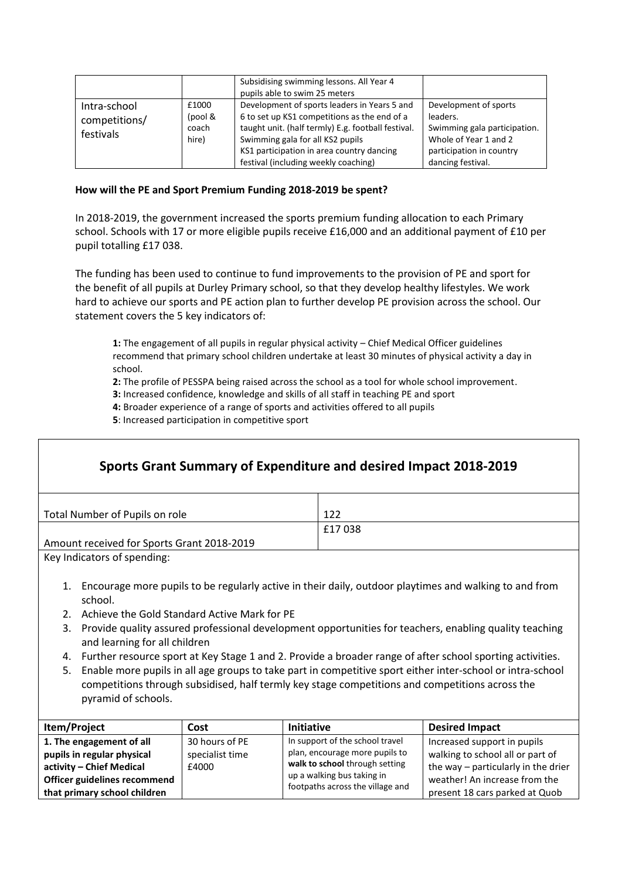|                                            |                                    | Subsidising swimming lessons. All Year 4<br>pupils able to swim 25 meters                                                                                                                                                                                                   |                                                                                                                                             |
|--------------------------------------------|------------------------------------|-----------------------------------------------------------------------------------------------------------------------------------------------------------------------------------------------------------------------------------------------------------------------------|---------------------------------------------------------------------------------------------------------------------------------------------|
| Intra-school<br>competitions/<br>festivals | £1000<br>(pool &<br>coach<br>hire) | Development of sports leaders in Years 5 and<br>6 to set up KS1 competitions as the end of a<br>taught unit. (half termly) E.g. football festival.<br>Swimming gala for all KS2 pupils<br>KS1 participation in area country dancing<br>festival (including weekly coaching) | Development of sports<br>leaders.<br>Swimming gala participation.<br>Whole of Year 1 and 2<br>participation in country<br>dancing festival. |

#### **How will the PE and Sport Premium Funding 2018-2019 be spent?**

In 2018-2019, the government increased the sports premium funding allocation to each Primary school. Schools with 17 or more eligible pupils receive £16,000 and an additional payment of £10 per pupil totalling £17 038.

The funding has been used to continue to fund improvements to the provision of PE and sport for the benefit of all pupils at Durley Primary school, so that they develop healthy lifestyles. We work hard to achieve our sports and PE action plan to further develop PE provision across the school. Our statement covers the 5 key indicators of:

**1:** The engagement of all pupils in regular physical activity – Chief Medical Officer guidelines recommend that primary school children undertake at least 30 minutes of physical activity a day in school.

**2:** The profile of PESSPA being raised across the school as a tool for whole school improvement.

**3:** Increased confidence, knowledge and skills of all staff in teaching PE and sport

**4:** Broader experience of a range of sports and activities offered to all pupils

**5**: Increased participation in competitive sport

| Sports Grant Summary of Expenditure and desired Impact 2018-2019                                                                           |                                                                                                                 |        |  |
|--------------------------------------------------------------------------------------------------------------------------------------------|-----------------------------------------------------------------------------------------------------------------|--------|--|
|                                                                                                                                            | Total Number of Pupils on role                                                                                  | 122    |  |
|                                                                                                                                            |                                                                                                                 | £17038 |  |
|                                                                                                                                            | Amount received for Sports Grant 2018-2019                                                                      |        |  |
| Key Indicators of spending:                                                                                                                |                                                                                                                 |        |  |
| 1. Encourage more pupils to be regularly active in their daily, outdoor playtimes and walking to and from<br>school.                       |                                                                                                                 |        |  |
|                                                                                                                                            | Achieve the Gold Standard Active Mark for PE<br>2.                                                              |        |  |
| 3. Provide quality assured professional development opportunities for teachers, enabling quality teaching<br>and learning for all children |                                                                                                                 |        |  |
|                                                                                                                                            | Further resource sport at Key Stage 1 and 2. Provide a broader range of after school sporting activities.<br>4. |        |  |
| 5.                                                                                                                                         | Enable more pupils in all age groups to take part in competitive sport either inter-school or intra-school      |        |  |

competitions through subsidised, half termly key stage competitions and competitions across the pyramid of schools.

| Item/Project                 | Cost            | <b>Initiative</b>                | <b>Desired Impact</b>               |
|------------------------------|-----------------|----------------------------------|-------------------------------------|
| 1. The engagement of all     | 30 hours of PE  | In support of the school travel  | Increased support in pupils         |
| pupils in regular physical   | specialist time | plan, encourage more pupils to   | walking to school all or part of    |
| activity - Chief Medical     | £4000           | walk to school through setting   | the way - particularly in the drier |
| Officer guidelines recommend |                 | up a walking bus taking in       | weather! An increase from the       |
| that primary school children |                 | footpaths across the village and | present 18 cars parked at Quob      |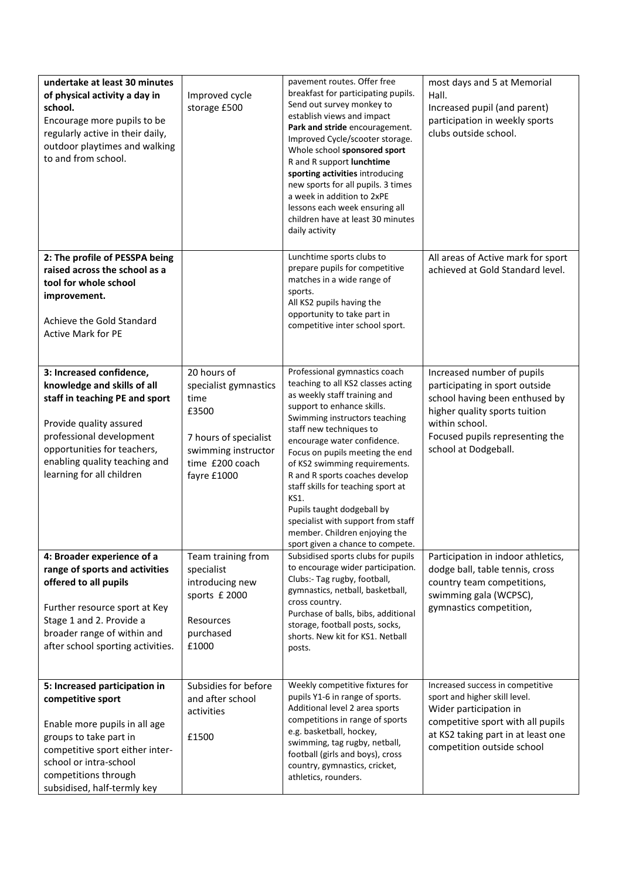| undertake at least 30 minutes<br>of physical activity a day in<br>school.<br>Encourage more pupils to be<br>regularly active in their daily,<br>outdoor playtimes and walking<br>to and from school.                                          | Improved cycle<br>storage £500                                                                                                          | pavement routes. Offer free<br>breakfast for participating pupils.<br>Send out survey monkey to<br>establish views and impact<br>Park and stride encouragement.<br>Improved Cycle/scooter storage.<br>Whole school sponsored sport<br>R and R support lunchtime<br>sporting activities introducing<br>new sports for all pupils. 3 times<br>a week in addition to 2xPE<br>lessons each week ensuring all<br>children have at least 30 minutes<br>daily activity                                                           | most days and 5 at Memorial<br>Hall.<br>Increased pupil (and parent)<br>participation in weekly sports<br>clubs outside school.                                                                              |
|-----------------------------------------------------------------------------------------------------------------------------------------------------------------------------------------------------------------------------------------------|-----------------------------------------------------------------------------------------------------------------------------------------|---------------------------------------------------------------------------------------------------------------------------------------------------------------------------------------------------------------------------------------------------------------------------------------------------------------------------------------------------------------------------------------------------------------------------------------------------------------------------------------------------------------------------|--------------------------------------------------------------------------------------------------------------------------------------------------------------------------------------------------------------|
| 2: The profile of PESSPA being<br>raised across the school as a<br>tool for whole school<br>improvement.<br>Achieve the Gold Standard<br><b>Active Mark for PE</b>                                                                            |                                                                                                                                         | Lunchtime sports clubs to<br>prepare pupils for competitive<br>matches in a wide range of<br>sports.<br>All KS2 pupils having the<br>opportunity to take part in<br>competitive inter school sport.                                                                                                                                                                                                                                                                                                                       | All areas of Active mark for sport<br>achieved at Gold Standard level.                                                                                                                                       |
| 3: Increased confidence,<br>knowledge and skills of all<br>staff in teaching PE and sport<br>Provide quality assured<br>professional development<br>opportunities for teachers,<br>enabling quality teaching and<br>learning for all children | 20 hours of<br>specialist gymnastics<br>time<br>£3500<br>7 hours of specialist<br>swimming instructor<br>time £200 coach<br>fayre £1000 | Professional gymnastics coach<br>teaching to all KS2 classes acting<br>as weekly staff training and<br>support to enhance skills.<br>Swimming instructors teaching<br>staff new techniques to<br>encourage water confidence.<br>Focus on pupils meeting the end<br>of KS2 swimming requirements.<br>R and R sports coaches develop<br>staff skills for teaching sport at<br>KS1.<br>Pupils taught dodgeball by<br>specialist with support from staff<br>member. Children enjoying the<br>sport given a chance to compete. | Increased number of pupils<br>participating in sport outside<br>school having been enthused by<br>higher quality sports tuition<br>within school.<br>Focused pupils representing the<br>school at Dodgeball. |
| 4: Broader experience of a<br>range of sports and activities<br>offered to all pupils<br>Further resource sport at Key<br>Stage 1 and 2. Provide a<br>broader range of within and<br>after school sporting activities.                        | Team training from<br>specialist<br>introducing new<br>sports £ 2000<br>Resources<br>purchased<br>£1000                                 | Subsidised sports clubs for pupils<br>to encourage wider participation.<br>Clubs:- Tag rugby, football,<br>gymnastics, netball, basketball,<br>cross country.<br>Purchase of balls, bibs, additional<br>storage, football posts, socks,<br>shorts. New kit for KS1. Netball<br>posts.                                                                                                                                                                                                                                     | Participation in indoor athletics,<br>dodge ball, table tennis, cross<br>country team competitions,<br>swimming gala (WCPSC),<br>gymnastics competition,                                                     |
| 5: Increased participation in<br>competitive sport<br>Enable more pupils in all age<br>groups to take part in<br>competitive sport either inter-<br>school or intra-school<br>competitions through<br>subsidised, half-termly key             | Subsidies for before<br>and after school<br>activities<br>£1500                                                                         | Weekly competitive fixtures for<br>pupils Y1-6 in range of sports.<br>Additional level 2 area sports<br>competitions in range of sports<br>e.g. basketball, hockey,<br>swimming, tag rugby, netball,<br>football (girls and boys), cross<br>country, gymnastics, cricket,<br>athletics, rounders.                                                                                                                                                                                                                         | Increased success in competitive<br>sport and higher skill level.<br>Wider participation in<br>competitive sport with all pupils<br>at KS2 taking part in at least one<br>competition outside school         |